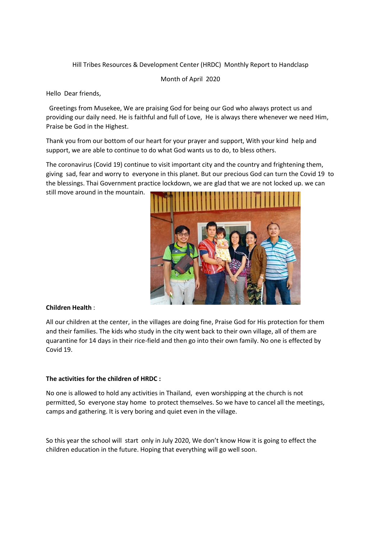# Hill Tribes Resources & Development Center (HRDC) Monthly Report to Handclasp

Month of April 2020

Hello Dear friends,

 Greetings from Musekee, We are praising God for being our God who always protect us and providing our daily need. He is faithful and full of Love, He is always there whenever we need Him, Praise be God in the Highest.

Thank you from our bottom of our heart for your prayer and support, With your kind help and support, we are able to continue to do what God wants us to do, to bless others.

The coronavirus (Covid 19) continue to visit important city and the country and frightening them, giving sad, fear and worry to everyone in this planet. But our precious God can turn the Covid 19 to the blessings. Thai Government practice lockdown, we are glad that we are not locked up. we can still move around in the mountain.



## **Children Health** :

All our children at the center, in the villages are doing fine, Praise God for His protection for them and their families. The kids who study in the city went back to their own village, all of them are quarantine for 14 days in their rice-field and then go into their own family. No one is effected by Covid 19.

### **The activities for the children of HRDC :**

No one is allowed to hold any activities in Thailand, even worshipping at the church is not permitted, So everyone stay home to protect themselves. So we have to cancel all the meetings, camps and gathering. It is very boring and quiet even in the village.

So this year the school will start only in July 2020, We don't know How it is going to effect the children education in the future. Hoping that everything will go well soon.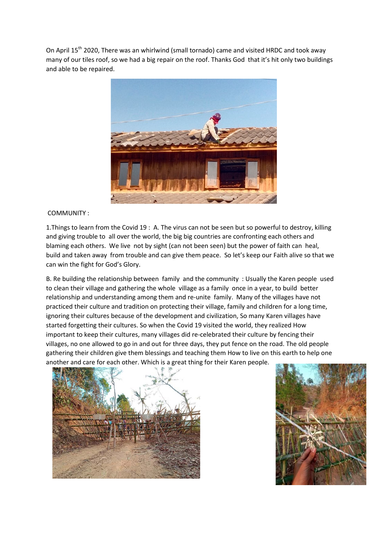On April 15<sup>th</sup> 2020, There was an whirlwind (small tornado) came and visited HRDC and took away many of our tiles roof, so we had a big repair on the roof. Thanks God that it's hit only two buildings and able to be repaired.



### COMMUNITY :

1.Things to learn from the Covid 19 : A. The virus can not be seen but so powerful to destroy, killing and giving trouble to all over the world, the big big countries are confronting each others and blaming each others. We live not by sight (can not been seen) but the power of faith can heal, build and taken away from trouble and can give them peace. So let's keep our Faith alive so that we can win the fight for God's Glory.

B. Re building the relationship between family and the community : Usually the Karen people used to clean their village and gathering the whole village as a family once in a year, to build better relationship and understanding among them and re-unite family. Many of the villages have not practiced their culture and tradition on protecting their village, family and children for a long time, ignoring their cultures because of the development and civilization, So many Karen villages have started forgetting their cultures. So when the Covid 19 visited the world, they realized How important to keep their cultures, many villages did re-celebrated their culture by fencing their villages, no one allowed to go in and out for three days, they put fence on the road. The old people gathering their children give them blessings and teaching them How to live on this earth to help one another and care for each other. Which is a great thing for their Karen people.



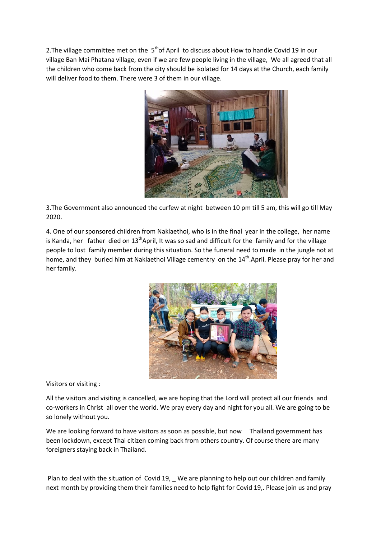2. The village committee met on the  $5<sup>th</sup>$ of April to discuss about How to handle Covid 19 in our village Ban Mai Phatana village, even if we are few people living in the village, We all agreed that all the children who come back from the city should be isolated for 14 days at the Church, each family will deliver food to them. There were 3 of them in our village.



3.The Government also announced the curfew at night between 10 pm till 5 am, this will go till May 2020.

4. One of our sponsored children from Naklaethoi, who is in the final year in the college, her name is Kanda, her father died on  $13<sup>th</sup>$ April, It was so sad and difficult for the family and for the village people to lost family member during this situation. So the funeral need to made in the jungle not at home, and they buried him at Naklaethoi Village cementry on the 14<sup>th</sup>.April. Please pray for her and her family.



Visitors or visiting :

All the visitors and visiting is cancelled, we are hoping that the Lord will protect all our friends and co-workers in Christ all over the world. We pray every day and night for you all. We are going to be so lonely without you.

We are looking forward to have visitors as soon as possible, but now Thailand government has been lockdown, except Thai citizen coming back from others country. Of course there are many foreigners staying back in Thailand.

Plan to deal with the situation of Covid 19, \_ We are planning to help out our children and family next month by providing them their families need to help fight for Covid 19,. Please join us and pray